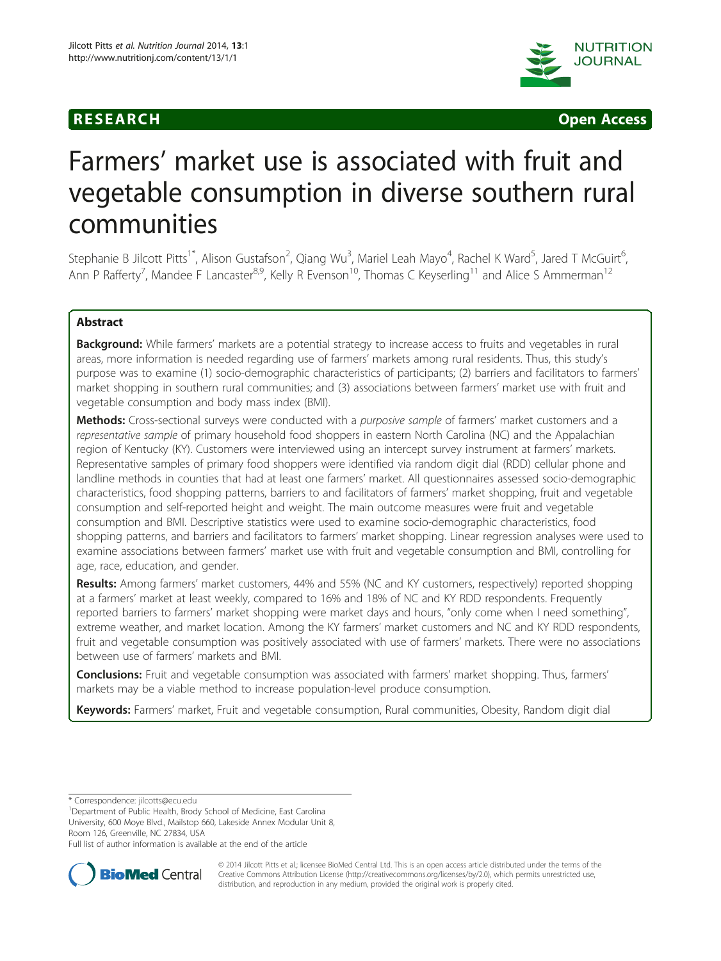



# Farmers' market use is associated with fruit and vegetable consumption in diverse southern rural communities

Stephanie B Jilcott Pitts<sup>1\*</sup>, Alison Gustafson<sup>2</sup>, Qiang Wu<sup>3</sup>, Mariel Leah Mayo<sup>4</sup>, Rachel K Ward<sup>5</sup>, Jared T McGuirt<sup>6</sup> י<br>, Ann P Rafferty<sup>7</sup>, Mandee F Lancaster<sup>8,9</sup>, Kelly R Evenson<sup>10</sup>, Thomas C Keyserling<sup>11</sup> and Alice S Ammerman<sup>12</sup>

# Abstract

Background: While farmers' markets are a potential strategy to increase access to fruits and vegetables in rural areas, more information is needed regarding use of farmers' markets among rural residents. Thus, this study's purpose was to examine (1) socio-demographic characteristics of participants; (2) barriers and facilitators to farmers' market shopping in southern rural communities; and (3) associations between farmers' market use with fruit and vegetable consumption and body mass index (BMI).

Methods: Cross-sectional surveys were conducted with a purposive sample of farmers' market customers and a representative sample of primary household food shoppers in eastern North Carolina (NC) and the Appalachian region of Kentucky (KY). Customers were interviewed using an intercept survey instrument at farmers' markets. Representative samples of primary food shoppers were identified via random digit dial (RDD) cellular phone and landline methods in counties that had at least one farmers' market. All questionnaires assessed socio-demographic characteristics, food shopping patterns, barriers to and facilitators of farmers' market shopping, fruit and vegetable consumption and self-reported height and weight. The main outcome measures were fruit and vegetable consumption and BMI. Descriptive statistics were used to examine socio-demographic characteristics, food shopping patterns, and barriers and facilitators to farmers' market shopping. Linear regression analyses were used to examine associations between farmers' market use with fruit and vegetable consumption and BMI, controlling for age, race, education, and gender.

Results: Among farmers' market customers, 44% and 55% (NC and KY customers, respectively) reported shopping at a farmers' market at least weekly, compared to 16% and 18% of NC and KY RDD respondents. Frequently reported barriers to farmers' market shopping were market days and hours, "only come when I need something", extreme weather, and market location. Among the KY farmers' market customers and NC and KY RDD respondents, fruit and vegetable consumption was positively associated with use of farmers' markets. There were no associations between use of farmers' markets and BMI.

**Conclusions:** Fruit and vegetable consumption was associated with farmers' market shopping. Thus, farmers' markets may be a viable method to increase population-level produce consumption.

Keywords: Farmers' market, Fruit and vegetable consumption, Rural communities, Obesity, Random digit dial

\* Correspondence: [jilcotts@ecu.edu](mailto:jilcotts@ecu.edu) <sup>1</sup>

Department of Public Health, Brody School of Medicine, East Carolina University, 600 Moye Blvd., Mailstop 660, Lakeside Annex Modular Unit 8, Room 126, Greenville, NC 27834, USA

Full list of author information is available at the end of the article



© 2014 Jilcott Pitts et al.; licensee BioMed Central Ltd. This is an open access article distributed under the terms of the Creative Commons Attribution License (<http://creativecommons.org/licenses/by/2.0>), which permits unrestricted use, distribution, and reproduction in any medium, provided the original work is properly cited.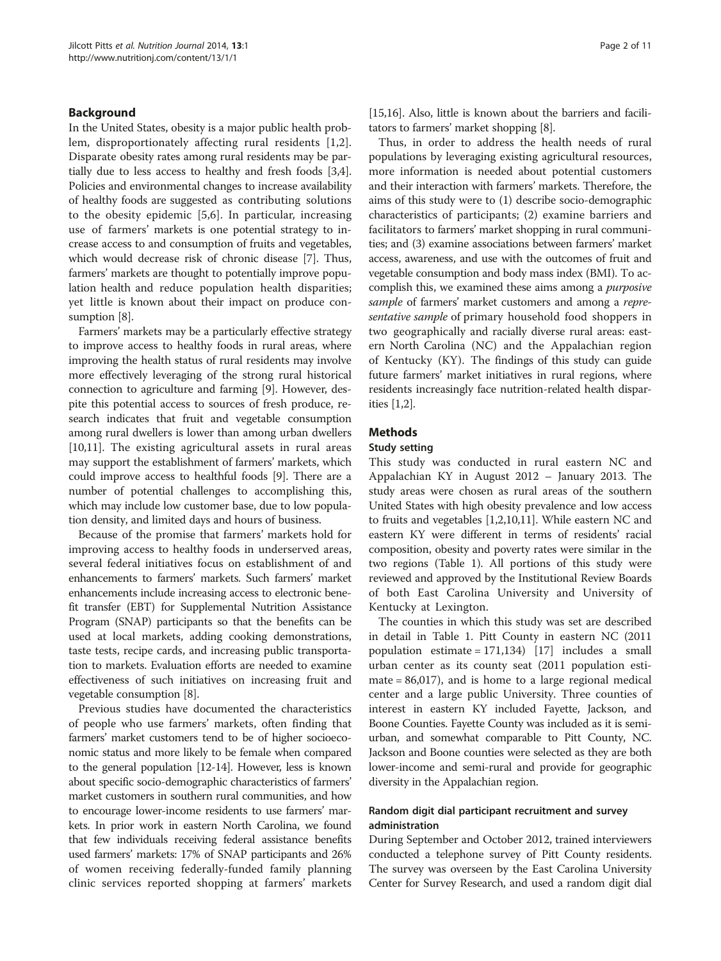# Background

In the United States, obesity is a major public health problem, disproportionately affecting rural residents [[1,2](#page-9-0)]. Disparate obesity rates among rural residents may be partially due to less access to healthy and fresh foods [[3](#page-9-0),[4](#page-9-0)]. Policies and environmental changes to increase availability of healthy foods are suggested as contributing solutions to the obesity epidemic [\[5](#page-9-0),[6\]](#page-9-0). In particular, increasing use of farmers' markets is one potential strategy to increase access to and consumption of fruits and vegetables, which would decrease risk of chronic disease [\[7](#page-9-0)]. Thus, farmers' markets are thought to potentially improve population health and reduce population health disparities; yet little is known about their impact on produce consumption [\[8](#page-9-0)].

Farmers' markets may be a particularly effective strategy to improve access to healthy foods in rural areas, where improving the health status of rural residents may involve more effectively leveraging of the strong rural historical connection to agriculture and farming [\[9](#page-9-0)]. However, despite this potential access to sources of fresh produce, research indicates that fruit and vegetable consumption among rural dwellers is lower than among urban dwellers [[10,11](#page-9-0)]. The existing agricultural assets in rural areas may support the establishment of farmers' markets, which could improve access to healthful foods [\[9](#page-9-0)]. There are a number of potential challenges to accomplishing this, which may include low customer base, due to low population density, and limited days and hours of business.

Because of the promise that farmers' markets hold for improving access to healthy foods in underserved areas, several federal initiatives focus on establishment of and enhancements to farmers' markets. Such farmers' market enhancements include increasing access to electronic benefit transfer (EBT) for Supplemental Nutrition Assistance Program (SNAP) participants so that the benefits can be used at local markets, adding cooking demonstrations, taste tests, recipe cards, and increasing public transportation to markets. Evaluation efforts are needed to examine effectiveness of such initiatives on increasing fruit and vegetable consumption [[8](#page-9-0)].

Previous studies have documented the characteristics of people who use farmers' markets, often finding that farmers' market customers tend to be of higher socioeconomic status and more likely to be female when compared to the general population [\[12-14](#page-9-0)]. However, less is known about specific socio-demographic characteristics of farmers' market customers in southern rural communities, and how to encourage lower-income residents to use farmers' markets. In prior work in eastern North Carolina, we found that few individuals receiving federal assistance benefits used farmers' markets: 17% of SNAP participants and 26% of women receiving federally-funded family planning clinic services reported shopping at farmers' markets [[15](#page-9-0),[16](#page-9-0)]. Also, little is known about the barriers and facilitators to farmers' market shopping [\[8\]](#page-9-0).

Thus, in order to address the health needs of rural populations by leveraging existing agricultural resources, more information is needed about potential customers and their interaction with farmers' markets. Therefore, the aims of this study were to (1) describe socio-demographic characteristics of participants; (2) examine barriers and facilitators to farmers' market shopping in rural communities; and (3) examine associations between farmers' market access, awareness, and use with the outcomes of fruit and vegetable consumption and body mass index (BMI). To accomplish this, we examined these aims among a purposive sample of farmers' market customers and among a representative sample of primary household food shoppers in two geographically and racially diverse rural areas: eastern North Carolina (NC) and the Appalachian region of Kentucky (KY). The findings of this study can guide future farmers' market initiatives in rural regions, where residents increasingly face nutrition-related health disparities [\[1,2](#page-9-0)].

# Methods

# Study setting

This study was conducted in rural eastern NC and Appalachian KY in August 2012 – January 2013. The study areas were chosen as rural areas of the southern United States with high obesity prevalence and low access to fruits and vegetables [\[1,2,10,11](#page-9-0)]. While eastern NC and eastern KY were different in terms of residents' racial composition, obesity and poverty rates were similar in the two regions (Table [1](#page-2-0)). All portions of this study were reviewed and approved by the Institutional Review Boards of both East Carolina University and University of Kentucky at Lexington.

The counties in which this study was set are described in detail in Table [1.](#page-2-0) Pitt County in eastern NC (2011 population estimate = 171,134) [[17](#page-9-0)] includes a small urban center as its county seat (2011 population estimate = 86,017), and is home to a large regional medical center and a large public University. Three counties of interest in eastern KY included Fayette, Jackson, and Boone Counties. Fayette County was included as it is semiurban, and somewhat comparable to Pitt County, NC. Jackson and Boone counties were selected as they are both lower-income and semi-rural and provide for geographic diversity in the Appalachian region.

# Random digit dial participant recruitment and survey administration

During September and October 2012, trained interviewers conducted a telephone survey of Pitt County residents. The survey was overseen by the East Carolina University Center for Survey Research, and used a random digit dial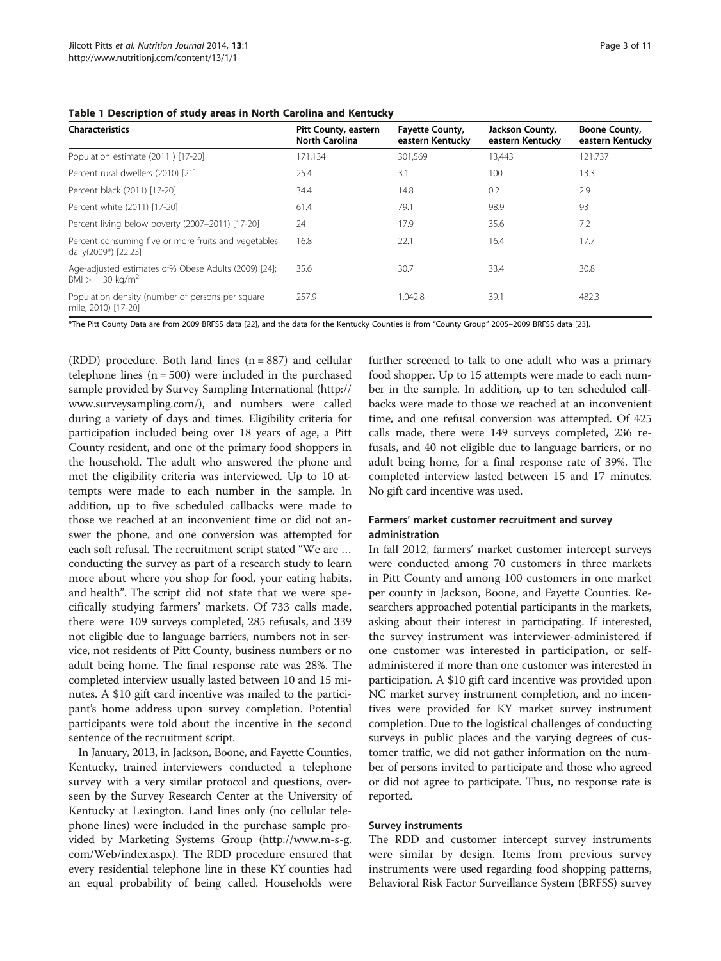<span id="page-2-0"></span>Table 1 Description of study areas in North Carolina and Kentucky

| <b>Characteristics</b>                                                             | <b>Pitt County, eastern</b><br><b>North Carolina</b> | <b>Fayette County,</b><br>eastern Kentucky | Jackson County,<br>eastern Kentucky | Boone County,<br>eastern Kentucky |
|------------------------------------------------------------------------------------|------------------------------------------------------|--------------------------------------------|-------------------------------------|-----------------------------------|
| Population estimate (2011) [17-20]                                                 | 171.134                                              | 301,569                                    | 13.443                              | 121,737                           |
| Percent rural dwellers (2010) [21]                                                 | 25.4                                                 | 3.1                                        | 100                                 | 13.3                              |
| Percent black (2011) [17-20]                                                       | 34.4                                                 | 14.8                                       | 0.2                                 | 2.9                               |
| Percent white (2011) [17-20]                                                       | 61.4                                                 | 79.1                                       | 98.9                                | 93                                |
| Percent living below poverty (2007-2011) [17-20]                                   | 24                                                   | 17.9                                       | 35.6                                | 7.2                               |
| Percent consuming five or more fruits and vegetables<br>daily(2009*) [22,23]       | 16.8                                                 | 22.1                                       | 16.4                                | 17.7                              |
| Age-adjusted estimates of% Obese Adults (2009) [24];<br>BMI > 30 kg/m <sup>2</sup> | 35.6                                                 | 30.7                                       | 33.4                                | 30.8                              |
| Population density (number of persons per square<br>mile, 2010) [17-20]            | 257.9                                                | 1.042.8                                    | 39.1                                | 482.3                             |

\*The Pitt County Data are from 2009 BRFSS data [[22\]](#page-9-0), and the data for the Kentucky Counties is from "County Group" 2005–2009 BRFSS data [\[23](#page-9-0)].

(RDD) procedure. Both land lines (n = 887) and cellular telephone lines  $(n = 500)$  were included in the purchased sample provided by Survey Sampling International ([http://](http://www.surveysampling.com/) [www.surveysampling.com/\)](http://www.surveysampling.com/), and numbers were called during a variety of days and times. Eligibility criteria for participation included being over 18 years of age, a Pitt County resident, and one of the primary food shoppers in the household. The adult who answered the phone and met the eligibility criteria was interviewed. Up to 10 attempts were made to each number in the sample. In addition, up to five scheduled callbacks were made to those we reached at an inconvenient time or did not answer the phone, and one conversion was attempted for each soft refusal. The recruitment script stated "We are … conducting the survey as part of a research study to learn more about where you shop for food, your eating habits, and health". The script did not state that we were specifically studying farmers' markets. Of 733 calls made, there were 109 surveys completed, 285 refusals, and 339 not eligible due to language barriers, numbers not in service, not residents of Pitt County, business numbers or no adult being home. The final response rate was 28%. The completed interview usually lasted between 10 and 15 minutes. A \$10 gift card incentive was mailed to the participant's home address upon survey completion. Potential participants were told about the incentive in the second sentence of the recruitment script.

In January, 2013, in Jackson, Boone, and Fayette Counties, Kentucky, trained interviewers conducted a telephone survey with a very similar protocol and questions, overseen by the Survey Research Center at the University of Kentucky at Lexington. Land lines only (no cellular telephone lines) were included in the purchase sample provided by Marketing Systems Group [\(http://www.m-s-g.](http://www.m-s-g.com/Web/index.aspx) [com/Web/index.aspx](http://www.m-s-g.com/Web/index.aspx)). The RDD procedure ensured that every residential telephone line in these KY counties had an equal probability of being called. Households were further screened to talk to one adult who was a primary food shopper. Up to 15 attempts were made to each number in the sample. In addition, up to ten scheduled callbacks were made to those we reached at an inconvenient time, and one refusal conversion was attempted. Of 425 calls made, there were 149 surveys completed, 236 refusals, and 40 not eligible due to language barriers, or no adult being home, for a final response rate of 39%. The completed interview lasted between 15 and 17 minutes. No gift card incentive was used.

# Farmers' market customer recruitment and survey administration

In fall 2012, farmers' market customer intercept surveys were conducted among 70 customers in three markets in Pitt County and among 100 customers in one market per county in Jackson, Boone, and Fayette Counties. Researchers approached potential participants in the markets, asking about their interest in participating. If interested, the survey instrument was interviewer-administered if one customer was interested in participation, or selfadministered if more than one customer was interested in participation. A \$10 gift card incentive was provided upon NC market survey instrument completion, and no incentives were provided for KY market survey instrument completion. Due to the logistical challenges of conducting surveys in public places and the varying degrees of customer traffic, we did not gather information on the number of persons invited to participate and those who agreed or did not agree to participate. Thus, no response rate is reported.

# Survey instruments

The RDD and customer intercept survey instruments were similar by design. Items from previous survey instruments were used regarding food shopping patterns, Behavioral Risk Factor Surveillance System (BRFSS) survey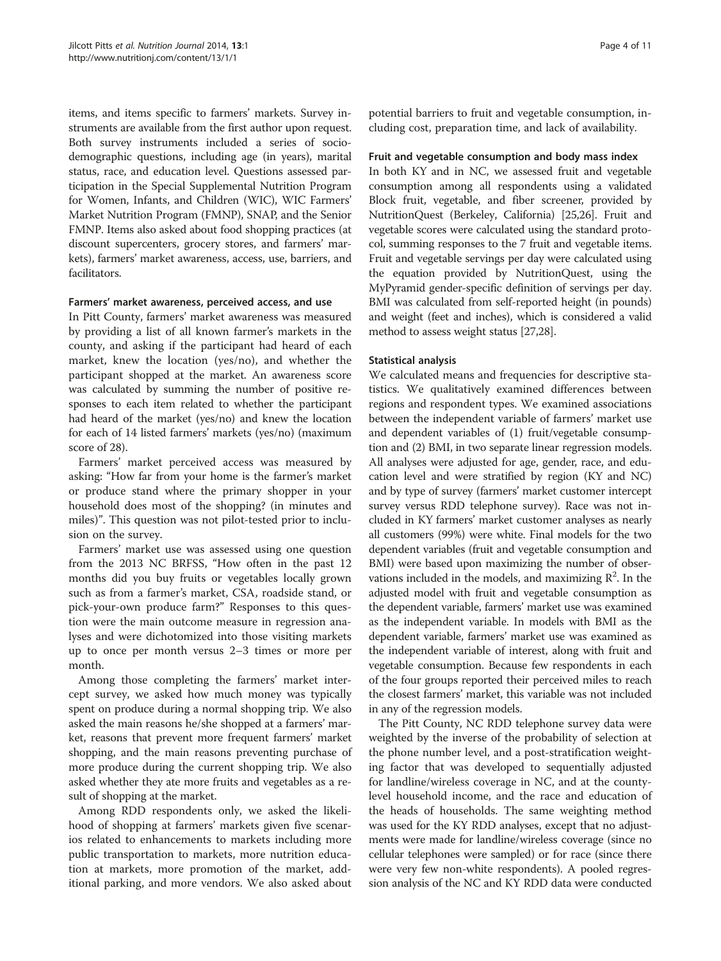items, and items specific to farmers' markets. Survey instruments are available from the first author upon request. Both survey instruments included a series of sociodemographic questions, including age (in years), marital status, race, and education level. Questions assessed participation in the Special Supplemental Nutrition Program for Women, Infants, and Children (WIC), WIC Farmers' Market Nutrition Program (FMNP), SNAP, and the Senior FMNP. Items also asked about food shopping practices (at discount supercenters, grocery stores, and farmers' markets), farmers' market awareness, access, use, barriers, and facilitators.

# Farmers' market awareness, perceived access, and use

In Pitt County, farmers' market awareness was measured by providing a list of all known farmer's markets in the county, and asking if the participant had heard of each market, knew the location (yes/no), and whether the participant shopped at the market. An awareness score was calculated by summing the number of positive responses to each item related to whether the participant had heard of the market (yes/no) and knew the location for each of 14 listed farmers' markets (yes/no) (maximum score of 28).

Farmers' market perceived access was measured by asking: "How far from your home is the farmer's market or produce stand where the primary shopper in your household does most of the shopping? (in minutes and miles)". This question was not pilot-tested prior to inclusion on the survey.

Farmers' market use was assessed using one question from the 2013 NC BRFSS, "How often in the past 12 months did you buy fruits or vegetables locally grown such as from a farmer's market, CSA, roadside stand, or pick-your-own produce farm?" Responses to this question were the main outcome measure in regression analyses and were dichotomized into those visiting markets up to once per month versus 2–3 times or more per month.

Among those completing the farmers' market intercept survey, we asked how much money was typically spent on produce during a normal shopping trip. We also asked the main reasons he/she shopped at a farmers' market, reasons that prevent more frequent farmers' market shopping, and the main reasons preventing purchase of more produce during the current shopping trip. We also asked whether they ate more fruits and vegetables as a result of shopping at the market.

Among RDD respondents only, we asked the likelihood of shopping at farmers' markets given five scenarios related to enhancements to markets including more public transportation to markets, more nutrition education at markets, more promotion of the market, additional parking, and more vendors. We also asked about

potential barriers to fruit and vegetable consumption, including cost, preparation time, and lack of availability.

# Fruit and vegetable consumption and body mass index

In both KY and in NC, we assessed fruit and vegetable consumption among all respondents using a validated Block fruit, vegetable, and fiber screener, provided by NutritionQuest (Berkeley, California) [\[25,](#page-9-0)[26](#page-10-0)]. Fruit and vegetable scores were calculated using the standard protocol, summing responses to the 7 fruit and vegetable items. Fruit and vegetable servings per day were calculated using the equation provided by NutritionQuest, using the MyPyramid gender-specific definition of servings per day. BMI was calculated from self-reported height (in pounds) and weight (feet and inches), which is considered a valid method to assess weight status [\[27,28](#page-10-0)].

# Statistical analysis

We calculated means and frequencies for descriptive statistics. We qualitatively examined differences between regions and respondent types. We examined associations between the independent variable of farmers' market use and dependent variables of (1) fruit/vegetable consumption and (2) BMI, in two separate linear regression models. All analyses were adjusted for age, gender, race, and education level and were stratified by region (KY and NC) and by type of survey (farmers' market customer intercept survey versus RDD telephone survey). Race was not included in KY farmers' market customer analyses as nearly all customers (99%) were white. Final models for the two dependent variables (fruit and vegetable consumption and BMI) were based upon maximizing the number of observations included in the models, and maximizing  $\mathbb{R}^2$ . In the adjusted model with fruit and vegetable consumption as the dependent variable, farmers' market use was examined as the independent variable. In models with BMI as the dependent variable, farmers' market use was examined as the independent variable of interest, along with fruit and vegetable consumption. Because few respondents in each of the four groups reported their perceived miles to reach the closest farmers' market, this variable was not included in any of the regression models.

The Pitt County, NC RDD telephone survey data were weighted by the inverse of the probability of selection at the phone number level, and a post-stratification weighting factor that was developed to sequentially adjusted for landline/wireless coverage in NC, and at the countylevel household income, and the race and education of the heads of households. The same weighting method was used for the KY RDD analyses, except that no adjustments were made for landline/wireless coverage (since no cellular telephones were sampled) or for race (since there were very few non-white respondents). A pooled regression analysis of the NC and KY RDD data were conducted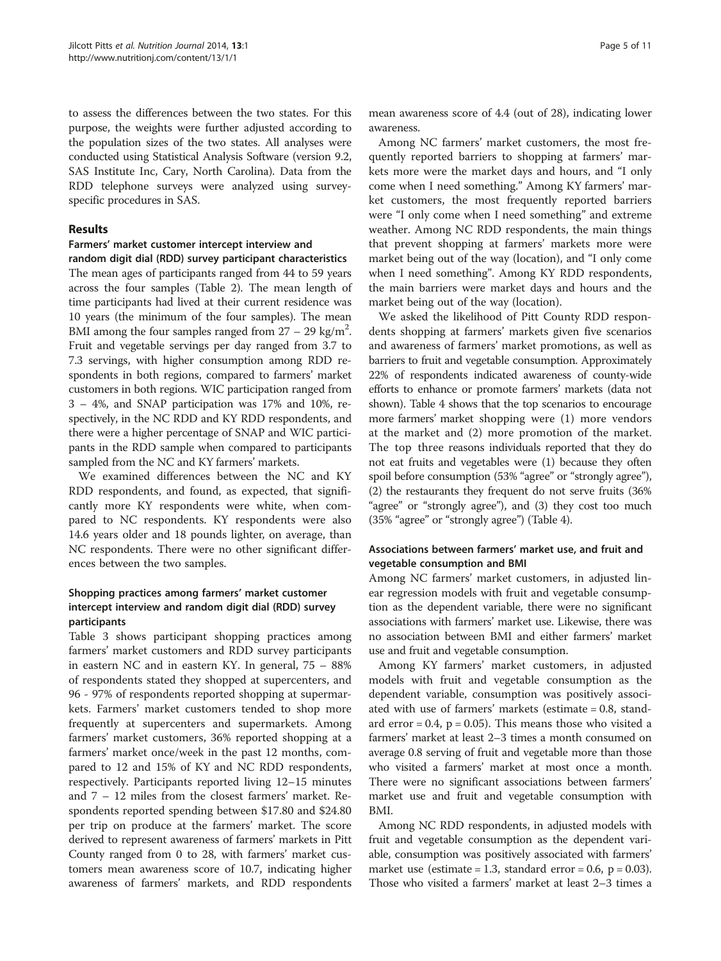to assess the differences between the two states. For this purpose, the weights were further adjusted according to the population sizes of the two states. All analyses were conducted using Statistical Analysis Software (version 9.2, SAS Institute Inc, Cary, North Carolina). Data from the RDD telephone surveys were analyzed using surveyspecific procedures in SAS.

# Results

# Farmers' market customer intercept interview and

random digit dial (RDD) survey participant characteristics The mean ages of participants ranged from 44 to 59 years across the four samples (Table [2\)](#page-5-0). The mean length of time participants had lived at their current residence was 10 years (the minimum of the four samples). The mean BMI among the four samples ranged from  $27 - 29$  kg/m<sup>2</sup>. Fruit and vegetable servings per day ranged from 3.7 to 7.3 servings, with higher consumption among RDD respondents in both regions, compared to farmers' market customers in both regions. WIC participation ranged from 3 – 4%, and SNAP participation was 17% and 10%, respectively, in the NC RDD and KY RDD respondents, and there were a higher percentage of SNAP and WIC participants in the RDD sample when compared to participants sampled from the NC and KY farmers' markets.

We examined differences between the NC and KY RDD respondents, and found, as expected, that significantly more KY respondents were white, when compared to NC respondents. KY respondents were also 14.6 years older and 18 pounds lighter, on average, than NC respondents. There were no other significant differences between the two samples.

# Shopping practices among farmers' market customer intercept interview and random digit dial (RDD) survey participants

Table [3](#page-6-0) shows participant shopping practices among farmers' market customers and RDD survey participants in eastern NC and in eastern KY. In general, 75 – 88% of respondents stated they shopped at supercenters, and 96 - 97% of respondents reported shopping at supermarkets. Farmers' market customers tended to shop more frequently at supercenters and supermarkets. Among farmers' market customers, 36% reported shopping at a farmers' market once/week in the past 12 months, compared to 12 and 15% of KY and NC RDD respondents, respectively. Participants reported living 12–15 minutes and 7 – 12 miles from the closest farmers' market. Respondents reported spending between \$17.80 and \$24.80 per trip on produce at the farmers' market. The score derived to represent awareness of farmers' markets in Pitt County ranged from 0 to 28, with farmers' market customers mean awareness score of 10.7, indicating higher awareness of farmers' markets, and RDD respondents

mean awareness score of 4.4 (out of 28), indicating lower awareness.

Among NC farmers' market customers, the most frequently reported barriers to shopping at farmers' markets more were the market days and hours, and "I only come when I need something." Among KY farmers' market customers, the most frequently reported barriers were "I only come when I need something" and extreme weather. Among NC RDD respondents, the main things that prevent shopping at farmers' markets more were market being out of the way (location), and "I only come when I need something". Among KY RDD respondents, the main barriers were market days and hours and the market being out of the way (location).

We asked the likelihood of Pitt County RDD respondents shopping at farmers' markets given five scenarios and awareness of farmers' market promotions, as well as barriers to fruit and vegetable consumption. Approximately 22% of respondents indicated awareness of county-wide efforts to enhance or promote farmers' markets (data not shown). Table [4](#page-7-0) shows that the top scenarios to encourage more farmers' market shopping were (1) more vendors at the market and (2) more promotion of the market. The top three reasons individuals reported that they do not eat fruits and vegetables were (1) because they often spoil before consumption (53% "agree" or "strongly agree"), (2) the restaurants they frequent do not serve fruits (36% "agree" or "strongly agree"), and (3) they cost too much (35% "agree" or "strongly agree") (Table [4\)](#page-7-0).

# Associations between farmers' market use, and fruit and vegetable consumption and BMI

Among NC farmers' market customers, in adjusted linear regression models with fruit and vegetable consumption as the dependent variable, there were no significant associations with farmers' market use. Likewise, there was no association between BMI and either farmers' market use and fruit and vegetable consumption.

Among KY farmers' market customers, in adjusted models with fruit and vegetable consumption as the dependent variable, consumption was positively associated with use of farmers' markets (estimate = 0.8, standard error  $= 0.4$ ,  $p = 0.05$ ). This means those who visited a farmers' market at least 2–3 times a month consumed on average 0.8 serving of fruit and vegetable more than those who visited a farmers' market at most once a month. There were no significant associations between farmers' market use and fruit and vegetable consumption with BMI.

Among NC RDD respondents, in adjusted models with fruit and vegetable consumption as the dependent variable, consumption was positively associated with farmers' market use (estimate = 1.3, standard error = 0.6,  $p = 0.03$ ). Those who visited a farmers' market at least 2–3 times a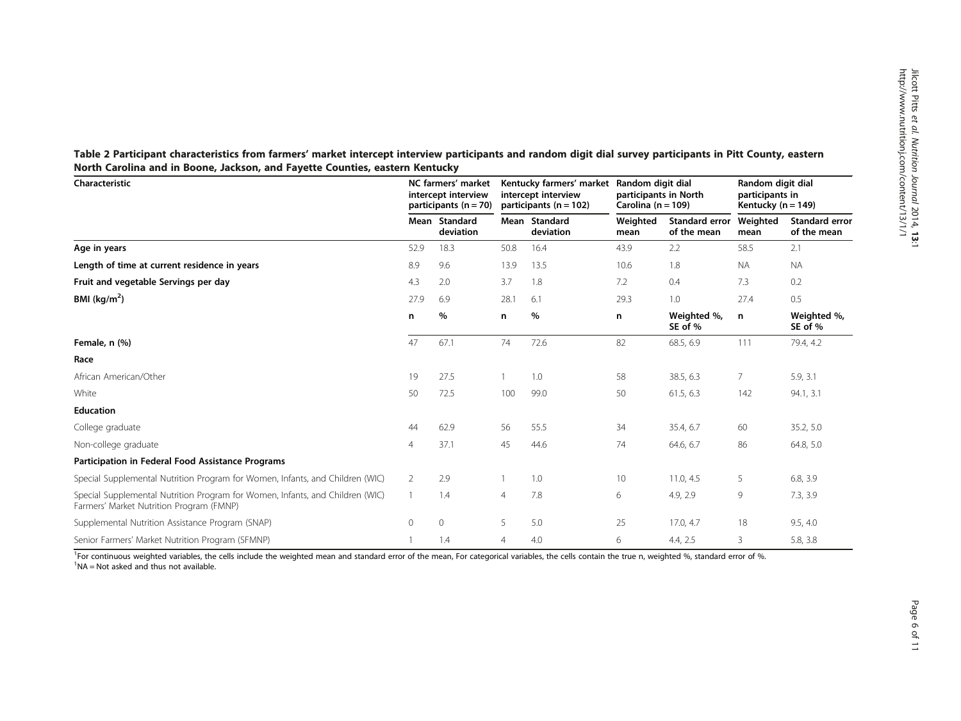| Characteristic                                                                                                            |                | NC farmers' market<br>intercept interview<br>participants ( $n = 70$ ) |                | Kentucky farmers' market<br>intercept interview<br>participants ( $n = 102$ ) |                  | Random digit dial<br>participants in North<br>Carolina ( $n = 109$ ) |                  | Random digit dial<br>participants in<br>Kentucky ( $n = 149$ ) |  |
|---------------------------------------------------------------------------------------------------------------------------|----------------|------------------------------------------------------------------------|----------------|-------------------------------------------------------------------------------|------------------|----------------------------------------------------------------------|------------------|----------------------------------------------------------------|--|
|                                                                                                                           |                | Mean Standard<br>deviation                                             |                | Mean Standard<br>deviation                                                    | Weighted<br>mean | Standard error<br>of the mean                                        | Weighted<br>mean | Standard error<br>of the mean                                  |  |
| Age in years                                                                                                              | 52.9           | 18.3                                                                   | 50.8           | 16.4                                                                          | 43.9             | 2.2                                                                  | 58.5             | 2.1                                                            |  |
| Length of time at current residence in years                                                                              | 8.9            | 9.6                                                                    | 13.9           | 13.5                                                                          | 10.6             | 1.8                                                                  | <b>NA</b>        | <b>NA</b>                                                      |  |
| Fruit and vegetable Servings per day                                                                                      | 4.3            | 2.0                                                                    | 3.7            | 1.8                                                                           | 7.2              | 0.4                                                                  | 7.3              | 0.2                                                            |  |
| BMI ( $kg/m2$ )                                                                                                           | 27.9           | 6.9                                                                    | 28.1           | 6.1                                                                           | 29.3             | 1.0                                                                  | 27.4             | 0.5                                                            |  |
|                                                                                                                           | n              | %                                                                      | n              | %                                                                             | n                | Weighted %,<br>SE of %                                               | n                | Weighted %,<br>SE of %                                         |  |
| Female, n (%)                                                                                                             | 47             | 67.1                                                                   | 74             | 72.6                                                                          | 82               | 68.5, 6.9                                                            | 111              | 79.4, 4.2                                                      |  |
| Race                                                                                                                      |                |                                                                        |                |                                                                               |                  |                                                                      |                  |                                                                |  |
| African American/Other                                                                                                    | 19             | 27.5                                                                   |                | 1.0                                                                           | 58               | 38.5, 6.3                                                            | 7                | 5.9, 3.1                                                       |  |
| White                                                                                                                     | 50             | 72.5                                                                   | 100            | 99.0                                                                          | 50               | 61.5, 6.3                                                            | 142              | 94.1, 3.1                                                      |  |
| <b>Education</b>                                                                                                          |                |                                                                        |                |                                                                               |                  |                                                                      |                  |                                                                |  |
| College graduate                                                                                                          | 44             | 62.9                                                                   | 56             | 55.5                                                                          | 34               | 35.4, 6.7                                                            | 60               | 35.2, 5.0                                                      |  |
| Non-college graduate                                                                                                      | 4              | 37.1                                                                   | 45             | 44.6                                                                          | 74               | 64.6, 6.7                                                            | 86               | 64.8, 5.0                                                      |  |
| Participation in Federal Food Assistance Programs                                                                         |                |                                                                        |                |                                                                               |                  |                                                                      |                  |                                                                |  |
| Special Supplemental Nutrition Program for Women, Infants, and Children (WIC)                                             | $\overline{2}$ | 2.9                                                                    |                | 1.0                                                                           | 10               | 11.0, 4.5                                                            | 5                | 6.8, 3.9                                                       |  |
| Special Supplemental Nutrition Program for Women, Infants, and Children (WIC)<br>Farmers' Market Nutrition Program (FMNP) | $\mathbf{1}$   | 1.4                                                                    | $\overline{4}$ | 7.8                                                                           | 6                | 4.9, 2.9                                                             | 9                | 7.3, 3.9                                                       |  |
| Supplemental Nutrition Assistance Program (SNAP)                                                                          | $\circ$        | $\mathbf{0}$                                                           | 5              | 5.0                                                                           | 25               | 17.0, 4.7                                                            | 18               | 9.5, 4.0                                                       |  |
| Senior Farmers' Market Nutrition Program (SFMNP)                                                                          |                | 1.4                                                                    | $\overline{4}$ | 4.0                                                                           | 6                | 4.4, 2.5                                                             | 3                | 5.8, 3.8                                                       |  |

<span id="page-5-0"></span>Table 2 Participant characteristics from farmers' market intercept interview participants and random digit dial survey participants in Pitt County, eastern North Carolina and in Boone, Jackson, and Fayette Counties, eastern Kentucky

<sup>1</sup>For continuous weighted variables, the cells include the weighted mean and standard error of the mean, For categorical variables, the cells contain the true n, weighted %, standard error of %.<br><sup>1</sup>NA = Not asked and thus  ${}^{1}$ NA = Not asked and thus not available.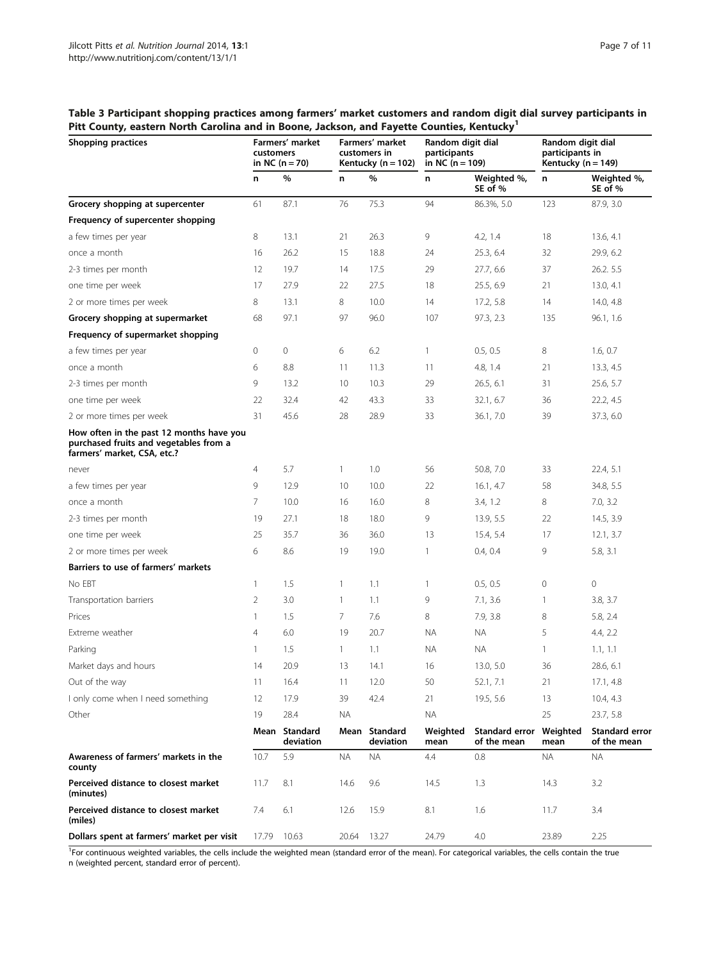<span id="page-6-0"></span>Table 3 Participant shopping practices among farmers' market customers and random digit dial survey participants in Pitt County, eastern North Carolina and in Boone, Jackson, and Fayette Counties, Kentucky<sup>1</sup>

| Shopping practices                                                                                                |       | Farmers' market<br>customers<br>in NC $(n = 70)$ |                 | Farmers' market<br>customers in<br>Kentucky ( $n = 102$ ) | Random digit dial<br>participants<br>in NC $(n = 109)$ |                               | Random digit dial<br>participants in<br>Kentucky ( $n = 149$ ) |                               |
|-------------------------------------------------------------------------------------------------------------------|-------|--------------------------------------------------|-----------------|-----------------------------------------------------------|--------------------------------------------------------|-------------------------------|----------------------------------------------------------------|-------------------------------|
|                                                                                                                   | n     | $\%$                                             | n               | %                                                         | n                                                      | Weighted %,<br>SE of %        | n                                                              | Weighted %,<br>SE of %        |
| Grocery shopping at supercenter                                                                                   | 61    | 87.1                                             | 76              | 75.3                                                      | 94                                                     | 86.3%, 5.0                    | 123                                                            | 87.9, 3.0                     |
| Frequency of supercenter shopping                                                                                 |       |                                                  |                 |                                                           |                                                        |                               |                                                                |                               |
| a few times per year                                                                                              | 8     | 13.1                                             | 21              | 26.3                                                      | 9                                                      | 4.2, 1.4                      | 18                                                             | 13.6, 4.1                     |
| once a month                                                                                                      | 16    | 26.2                                             | 15              | 18.8                                                      | 24                                                     | 25.3, 6.4                     | 32                                                             | 29.9, 6.2                     |
| 2-3 times per month                                                                                               | 12    | 19.7                                             | 14              | 17.5                                                      | 29                                                     | 27.7, 6.6                     | 37                                                             | 26.2.5.5                      |
| one time per week                                                                                                 | 17    | 27.9                                             | 22              | 27.5                                                      | 18                                                     | 25.5, 6.9                     | 21                                                             | 13.0, 4.1                     |
| 2 or more times per week                                                                                          | 8     | 13.1                                             | 8               | 10.0                                                      | 14                                                     | 17.2, 5.8                     | 14                                                             | 14.0, 4.8                     |
| Grocery shopping at supermarket                                                                                   | 68    | 97.1                                             | 97              | 96.0                                                      | 107                                                    | 97.3, 2.3                     | 135                                                            | 96.1, 1.6                     |
| Frequency of supermarket shopping                                                                                 |       |                                                  |                 |                                                           |                                                        |                               |                                                                |                               |
| a few times per year                                                                                              | 0     | 0                                                | 6               | 6.2                                                       | 1                                                      | 0.5, 0.5                      | 8                                                              | 1.6, 0.7                      |
| once a month                                                                                                      | 6     | 8.8                                              | 11              | 11.3                                                      | 11                                                     | 4.8, 1.4                      | 21                                                             | 13.3, 4.5                     |
| 2-3 times per month                                                                                               | 9     | 13.2                                             | 10 <sup>°</sup> | 10.3                                                      | 29                                                     | 26.5, 6.1                     | 31                                                             | 25.6, 5.7                     |
| one time per week                                                                                                 | 22    | 32.4                                             | 42              | 43.3                                                      | 33                                                     | 32.1, 6.7                     | 36                                                             | 22.2, 4.5                     |
| 2 or more times per week                                                                                          | 31    | 45.6                                             | 28              | 28.9                                                      | 33                                                     | 36.1, 7.0                     | 39                                                             | 37.3, 6.0                     |
| How often in the past 12 months have you<br>purchased fruits and vegetables from a<br>farmers' market, CSA, etc.? |       |                                                  |                 |                                                           |                                                        |                               |                                                                |                               |
| never                                                                                                             | 4     | 5.7                                              | $\mathbf{1}$    | 1.0                                                       | 56                                                     | 50.8, 7.0                     | 33                                                             | 22.4, 5.1                     |
| a few times per year                                                                                              | 9     | 12.9                                             | 10              | 10.0                                                      | 22                                                     | 16.1, 4.7                     | 58                                                             | 34.8, 5.5                     |
| once a month                                                                                                      | 7     | 10.0                                             | 16              | 16.0                                                      | 8                                                      | 3.4, 1.2                      | 8                                                              | 7.0, 3.2                      |
| 2-3 times per month                                                                                               | 19    | 27.1                                             | 18              | 18.0                                                      | 9                                                      | 13.9, 5.5                     | 22                                                             | 14.5, 3.9                     |
| one time per week                                                                                                 | 25    | 35.7                                             | 36              | 36.0                                                      | 13                                                     | 15.4, 5.4                     | 17                                                             | 12.1, 3.7                     |
| 2 or more times per week                                                                                          | 6     | 8.6                                              | 19              | 19.0                                                      | 1                                                      | 0.4, 0.4                      | 9                                                              | 5.8, 3.1                      |
| Barriers to use of farmers' markets                                                                               |       |                                                  |                 |                                                           |                                                        |                               |                                                                |                               |
| No EBT                                                                                                            | 1     | 1.5                                              | 1               | 1.1                                                       | 1                                                      | 0.5, 0.5                      | 0                                                              | $\mathbf 0$                   |
| Transportation barriers                                                                                           | 2     | 3.0                                              | $\mathbf{1}$    | 1.1                                                       | 9                                                      | 7.1, 3.6                      | $\mathbf{1}$                                                   | 3.8, 3.7                      |
| Prices                                                                                                            | 1     | 1.5                                              | 7.              | 7.6                                                       | 8                                                      | 7.9, 3.8                      | 8                                                              | 5.8, 2.4                      |
| Extreme weather                                                                                                   | 4     | 6.0                                              | 19              | 20.7                                                      | <b>NA</b>                                              | ΝA                            | 5                                                              | 4.4, 2.2                      |
| Parking                                                                                                           | 1     | 1.5                                              | $\mathbf{1}$    | 1.1                                                       | ΝA                                                     | ΝA                            | 1                                                              | 1.1, 1.1                      |
| Market days and hours                                                                                             | 14    | 20.9                                             | 13              | 14.1                                                      | 16                                                     | 13.0, 5.0                     | 36                                                             | 28.6, 6.1                     |
| Out of the way                                                                                                    | 11    | 16.4                                             | 11              | 12.0                                                      | 50                                                     | 52.1, 7.1                     | 21                                                             | 17.1, 4.8                     |
| I only come when I need something                                                                                 | 12    | 17.9                                             | 39              | 42.4                                                      | 21                                                     | 19.5, 5.6                     | 13                                                             | 10.4, 4.3                     |
| Other                                                                                                             | 19    | 28.4                                             | <b>NA</b>       |                                                           | ΝA                                                     |                               | 25                                                             | 23.7, 5.8                     |
|                                                                                                                   |       | Mean Standard<br>deviation                       | Mean            | Standard<br>deviation                                     | Weighted<br>mean                                       | Standard error<br>of the mean | Weighted<br>mean                                               | Standard error<br>of the mean |
| Awareness of farmers' markets in the<br>county                                                                    | 10.7  | 5.9                                              | ΝA              | ΝA                                                        | $4.4\,$                                                | 0.8                           | <b>NA</b>                                                      | <b>NA</b>                     |
| Perceived distance to closest market<br>(minutes)                                                                 | 11.7  | 8.1                                              | 14.6            | 9.6                                                       | 14.5                                                   | 1.3                           | 14.3                                                           | 3.2                           |
| Perceived distance to closest market<br>(miles)                                                                   | 7.4   | 6.1                                              | 12.6            | 15.9                                                      | 8.1                                                    | 1.6                           | 11.7                                                           | 3.4                           |
| Dollars spent at farmers' market per visit                                                                        | 17.79 | 10.63                                            | 20.64           | 13.27                                                     | 24.79                                                  | 4.0                           | 23.89                                                          | 2.25                          |

<sup>1</sup>For continuous weighted variables, the cells include the weighted mean (standard error of the mean). For categorical variables, the cells contain the true n (weighted percent, standard error of percent).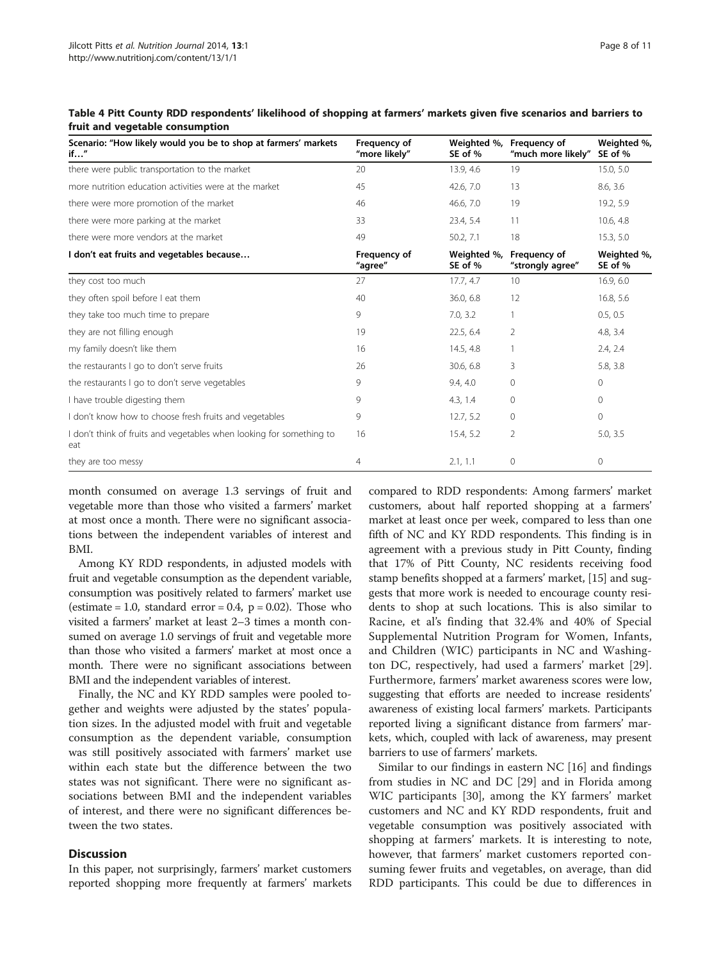| Scenario: "How likely would you be to shop at farmers' markets<br>if''      | Frequency of<br>"more likely" | Weighted %,<br>SE of % | Frequency of<br>"much more likely" | Weighted %,<br>SE of % |
|-----------------------------------------------------------------------------|-------------------------------|------------------------|------------------------------------|------------------------|
| there were public transportation to the market                              | 20                            | 13.9, 4.6              | 19                                 | 15.0, 5.0              |
| more nutrition education activities were at the market                      | 45                            | 42.6, 7.0              | 13                                 | 8.6, 3.6               |
| there were more promotion of the market                                     | 46                            | 46.6, 7.0              | 19                                 | 19.2, 5.9              |
| there were more parking at the market                                       | 33                            | 23.4, 5.4              | 11                                 | 10.6, 4.8              |
| there were more vendors at the market                                       | 49                            | 50.2, 7.1              | 18                                 | 15.3, 5.0              |
| I don't eat fruits and vegetables because                                   | Frequency of<br>"agree"       | Weighted %,<br>SE of % | Frequency of<br>"strongly agree"   | Weighted %,<br>SE of % |
| they cost too much                                                          | 27                            | 17.7, 4.7              | 10                                 | 16.9, 6.0              |
| they often spoil before I eat them                                          | 40                            | 36.0, 6.8              | 12                                 | 16.8, 5.6              |
| they take too much time to prepare                                          | 9                             | 7.0, 3.2               |                                    | 0.5, 0.5               |
| they are not filling enough                                                 | 19                            | 22.5, 6.4              | 2                                  | 4.8, 3.4               |
| my family doesn't like them                                                 | 16                            | 14.5, 4.8              |                                    | 2.4, 2.4               |
| the restaurants I go to don't serve fruits                                  | 26                            | 30.6, 6.8              | 3                                  | 5.8, 3.8               |
| the restaurants I go to don't serve vegetables                              | 9                             | 9.4, 4.0               | $\mathbf{0}$                       | $\circ$                |
| I have trouble digesting them                                               | 9                             | 4.3, 1.4               | 0                                  | $\circ$                |
| don't know how to choose fresh fruits and vegetables                        | 9                             | 12.7, 5.2              | $\mathbf{0}$                       | $\circ$                |
| I don't think of fruits and vegetables when looking for something to<br>eat | 16                            | 15.4, 5.2              | 2                                  | 5.0, 3.5               |
| they are too messy                                                          | 4                             | 2.1, 1.1               | $\mathbf{0}$                       | 0                      |

<span id="page-7-0"></span>Table 4 Pitt County RDD respondents' likelihood of shopping at farmers' markets given five scenarios and barriers to fruit and vegetable consumption

month consumed on average 1.3 servings of fruit and vegetable more than those who visited a farmers' market at most once a month. There were no significant associations between the independent variables of interest and BMI.

Among KY RDD respondents, in adjusted models with fruit and vegetable consumption as the dependent variable, consumption was positively related to farmers' market use (estimate = 1.0, standard error =  $0.4$ , p =  $0.02$ ). Those who visited a farmers' market at least 2–3 times a month consumed on average 1.0 servings of fruit and vegetable more than those who visited a farmers' market at most once a month. There were no significant associations between BMI and the independent variables of interest.

Finally, the NC and KY RDD samples were pooled together and weights were adjusted by the states' population sizes. In the adjusted model with fruit and vegetable consumption as the dependent variable, consumption was still positively associated with farmers' market use within each state but the difference between the two states was not significant. There were no significant associations between BMI and the independent variables of interest, and there were no significant differences between the two states.

# **Discussion**

In this paper, not surprisingly, farmers' market customers reported shopping more frequently at farmers' markets compared to RDD respondents: Among farmers' market customers, about half reported shopping at a farmers' market at least once per week, compared to less than one fifth of NC and KY RDD respondents. This finding is in agreement with a previous study in Pitt County, finding that 17% of Pitt County, NC residents receiving food stamp benefits shopped at a farmers' market, [[15\]](#page-9-0) and suggests that more work is needed to encourage county residents to shop at such locations. This is also similar to Racine, et al's finding that 32.4% and 40% of Special Supplemental Nutrition Program for Women, Infants, and Children (WIC) participants in NC and Washington DC, respectively, had used a farmers' market [\[29](#page-10-0)]. Furthermore, farmers' market awareness scores were low, suggesting that efforts are needed to increase residents' awareness of existing local farmers' markets. Participants reported living a significant distance from farmers' markets, which, coupled with lack of awareness, may present barriers to use of farmers' markets.

Similar to our findings in eastern NC [\[16\]](#page-9-0) and findings from studies in NC and DC [[29](#page-10-0)] and in Florida among WIC participants [\[30](#page-10-0)], among the KY farmers' market customers and NC and KY RDD respondents, fruit and vegetable consumption was positively associated with shopping at farmers' markets. It is interesting to note, however, that farmers' market customers reported consuming fewer fruits and vegetables, on average, than did RDD participants. This could be due to differences in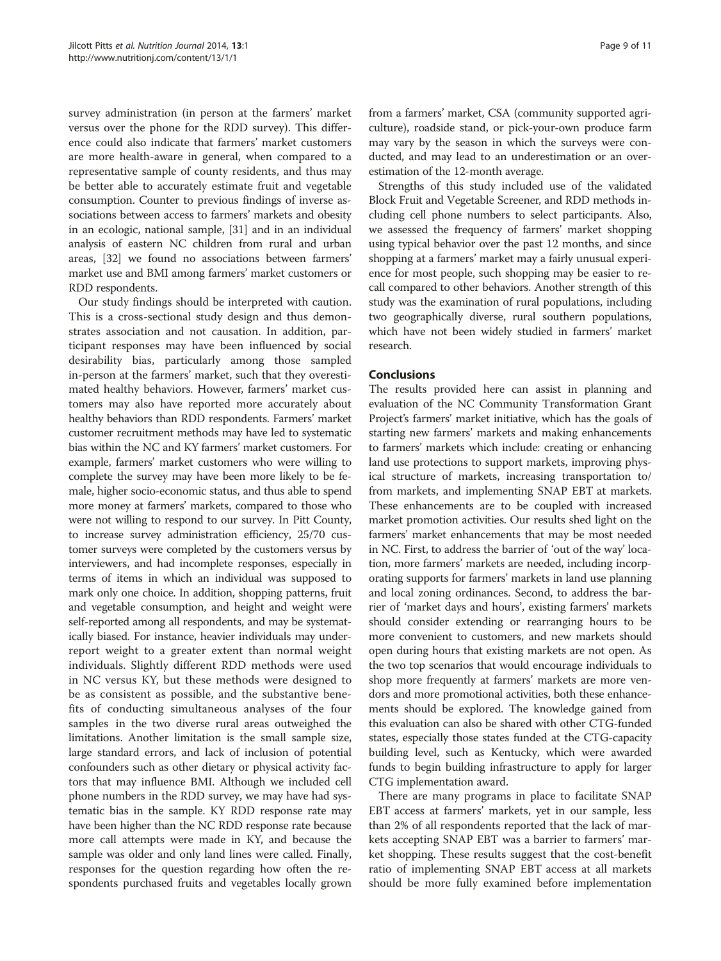survey administration (in person at the farmers' market versus over the phone for the RDD survey). This difference could also indicate that farmers' market customers are more health-aware in general, when compared to a representative sample of county residents, and thus may be better able to accurately estimate fruit and vegetable consumption. Counter to previous findings of inverse associations between access to farmers' markets and obesity in an ecologic, national sample, [\[31\]](#page-10-0) and in an individual analysis of eastern NC children from rural and urban areas, [[32](#page-10-0)] we found no associations between farmers' market use and BMI among farmers' market customers or RDD respondents.

Our study findings should be interpreted with caution. This is a cross-sectional study design and thus demonstrates association and not causation. In addition, participant responses may have been influenced by social desirability bias, particularly among those sampled in-person at the farmers' market, such that they overestimated healthy behaviors. However, farmers' market customers may also have reported more accurately about healthy behaviors than RDD respondents. Farmers' market customer recruitment methods may have led to systematic bias within the NC and KY farmers' market customers. For example, farmers' market customers who were willing to complete the survey may have been more likely to be female, higher socio-economic status, and thus able to spend more money at farmers' markets, compared to those who were not willing to respond to our survey. In Pitt County, to increase survey administration efficiency, 25/70 customer surveys were completed by the customers versus by interviewers, and had incomplete responses, especially in terms of items in which an individual was supposed to mark only one choice. In addition, shopping patterns, fruit and vegetable consumption, and height and weight were self-reported among all respondents, and may be systematically biased. For instance, heavier individuals may underreport weight to a greater extent than normal weight individuals. Slightly different RDD methods were used in NC versus KY, but these methods were designed to be as consistent as possible, and the substantive benefits of conducting simultaneous analyses of the four samples in the two diverse rural areas outweighed the limitations. Another limitation is the small sample size, large standard errors, and lack of inclusion of potential confounders such as other dietary or physical activity factors that may influence BMI. Although we included cell phone numbers in the RDD survey, we may have had systematic bias in the sample. KY RDD response rate may have been higher than the NC RDD response rate because more call attempts were made in KY, and because the sample was older and only land lines were called. Finally, responses for the question regarding how often the respondents purchased fruits and vegetables locally grown

from a farmers' market, CSA (community supported agriculture), roadside stand, or pick-your-own produce farm may vary by the season in which the surveys were conducted, and may lead to an underestimation or an overestimation of the 12-month average.

Strengths of this study included use of the validated Block Fruit and Vegetable Screener, and RDD methods including cell phone numbers to select participants. Also, we assessed the frequency of farmers' market shopping using typical behavior over the past 12 months, and since shopping at a farmers' market may a fairly unusual experience for most people, such shopping may be easier to recall compared to other behaviors. Another strength of this study was the examination of rural populations, including two geographically diverse, rural southern populations, which have not been widely studied in farmers' market research.

# Conclusions

The results provided here can assist in planning and evaluation of the NC Community Transformation Grant Project's farmers' market initiative, which has the goals of starting new farmers' markets and making enhancements to farmers' markets which include: creating or enhancing land use protections to support markets, improving physical structure of markets, increasing transportation to/ from markets, and implementing SNAP EBT at markets. These enhancements are to be coupled with increased market promotion activities. Our results shed light on the farmers' market enhancements that may be most needed in NC. First, to address the barrier of 'out of the way' location, more farmers' markets are needed, including incorporating supports for farmers' markets in land use planning and local zoning ordinances. Second, to address the barrier of 'market days and hours', existing farmers' markets should consider extending or rearranging hours to be more convenient to customers, and new markets should open during hours that existing markets are not open. As the two top scenarios that would encourage individuals to shop more frequently at farmers' markets are more vendors and more promotional activities, both these enhancements should be explored. The knowledge gained from this evaluation can also be shared with other CTG-funded states, especially those states funded at the CTG-capacity building level, such as Kentucky, which were awarded funds to begin building infrastructure to apply for larger CTG implementation award.

There are many programs in place to facilitate SNAP EBT access at farmers' markets, yet in our sample, less than 2% of all respondents reported that the lack of markets accepting SNAP EBT was a barrier to farmers' market shopping. These results suggest that the cost-benefit ratio of implementing SNAP EBT access at all markets should be more fully examined before implementation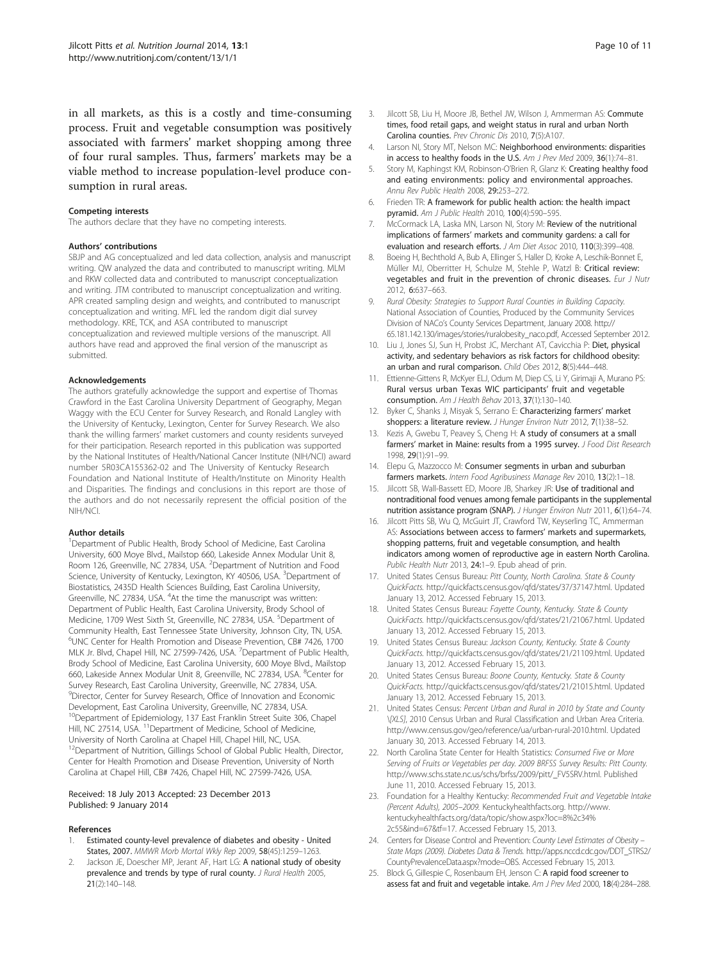<span id="page-9-0"></span>in all markets, as this is a costly and time-consuming process. Fruit and vegetable consumption was positively associated with farmers' market shopping among three of four rural samples. Thus, farmers' markets may be a viable method to increase population-level produce consumption in rural areas.

#### Competing interests

The authors declare that they have no competing interests.

#### Authors' contributions

SBJP and AG conceptualized and led data collection, analysis and manuscript writing. QW analyzed the data and contributed to manuscript writing. MLM and RKW collected data and contributed to manuscript conceptualization and writing. JTM contributed to manuscript conceptualization and writing. APR created sampling design and weights, and contributed to manuscript conceptualization and writing. MFL led the random digit dial survey methodology. KRE, TCK, and ASA contributed to manuscript conceptualization and reviewed multiple versions of the manuscript. All authors have read and approved the final version of the manuscript as submitted.

# Acknowledgements

The authors gratefully acknowledge the support and expertise of Thomas Crawford in the East Carolina University Department of Geography, Megan Waggy with the ECU Center for Survey Research, and Ronald Langley with the University of Kentucky, Lexington, Center for Survey Research. We also thank the willing farmers' market customers and county residents surveyed for their participation. Research reported in this publication was supported by the National Institutes of Health/National Cancer Institute (NIH/NCI) award number 5R03CA155362-02 and The University of Kentucky Research Foundation and National Institute of Health/Institute on Minority Health and Disparities. The findings and conclusions in this report are those of the authors and do not necessarily represent the official position of the NIH/NCI.

# Author details

<sup>1</sup>Department of Public Health, Brody School of Medicine, East Carolina University, 600 Moye Blvd., Mailstop 660, Lakeside Annex Modular Unit 8, Room 126, Greenville, NC 27834, USA. <sup>2</sup>Department of Nutrition and Food Science, University of Kentucky, Lexington, KY 40506, USA. <sup>3</sup>Department of Biostatistics, 2435D Health Sciences Building, East Carolina University, Greenville, NC 27834, USA. <sup>4</sup>At the time the manuscript was written: Department of Public Health, East Carolina University, Brody School of Medicine, 1709 West Sixth St, Greenville, NC 27834, USA. <sup>5</sup>Department of Community Health, East Tennessee State University, Johnson City, TN, USA. 6 UNC Center for Health Promotion and Disease Prevention, CB# 7426, 1700 MLK Jr. Blvd, Chapel Hill, NC 27599-7426, USA. <sup>7</sup>Department of Public Health, Brody School of Medicine, East Carolina University, 600 Moye Blvd., Mailstop 660, Lakeside Annex Modular Unit 8, Greenville, NC 27834, USA. <sup>8</sup>Center for Survey Research, East Carolina University, Greenville, NC 27834, USA. <sup>9</sup>Director, Center for Survey Research, Office of Innovation and Economic Development, East Carolina University, Greenville, NC 27834, USA. <sup>10</sup>Department of Epidemiology, 137 East Franklin Street Suite 306, Chapel Hill, NC 27514, USA. <sup>11</sup>Department of Medicine, School of Medicine, University of North Carolina at Chapel Hill, Chapel Hill, NC, USA. <sup>12</sup>Department of Nutrition, Gillings School of Global Public Health, Director, Center for Health Promotion and Disease Prevention, University of North Carolina at Chapel Hill, CB# 7426, Chapel Hill, NC 27599-7426, USA.

#### Received: 18 July 2013 Accepted: 23 December 2013 Published: 9 January 2014

# References

- 1. Estimated county-level prevalence of diabetes and obesity United States, 2007. MMWR Morb Mortal Wkly Rep 2009, 58(45):1259–1263.
- Jackson JE, Doescher MP, Jerant AF, Hart LG: A national study of obesity prevalence and trends by type of rural county. J Rural Health 2005, 21(2):140–148.
- 3. Jilcott SB, Liu H, Moore JB, Bethel JW, Wilson J, Ammerman AS: Commute times, food retail gaps, and weight status in rural and urban North Carolina counties. Prev Chronic Dis 2010, 7(5):A107.
- 4. Larson NI, Story MT, Nelson MC: Neighborhood environments: disparities in access to healthy foods in the U.S. Am J Prev Med 2009, 36(1):74–81.
- Story M, Kaphingst KM, Robinson-O'Brien R, Glanz K: Creating healthy food and eating environments: policy and environmental approaches. Annu Rev Public Health 2008, 29:253–272.
- 6. Frieden TR: A framework for public health action: the health impact pyramid. Am J Public Health 2010, 100(4):590–595.
- 7. McCormack LA, Laska MN, Larson NI, Story M: Review of the nutritional implications of farmers' markets and community gardens: a call for evaluation and research efforts. J Am Diet Assoc 2010, 110(3):399-408.
- 8. Boeing H, Bechthold A, Bub A, Ellinger S, Haller D, Kroke A, Leschik-Bonnet E, Müller MJ, Oberritter H, Schulze M, Stehle P, Watzl B: Critical review: vegetables and fruit in the prevention of chronic diseases. Eur J Nutr 2012, 6:637–663.
- 9. Rural Obesity: Strategies to Support Rural Counties in Building Capacity. National Association of Counties, Produced by the Community Services Division of NACo's County Services Department, January 2008. [http://](http://65.181.142.130/images/stories/ruralobesity_naco.pdf) [65.181.142.130/images/stories/ruralobesity\\_naco.pdf,](http://65.181.142.130/images/stories/ruralobesity_naco.pdf) Accessed September 2012.
- 10. Liu J, Jones SJ, Sun H, Probst JC, Merchant AT, Cavicchia P: Diet, physical activity, and sedentary behaviors as risk factors for childhood obesity: an urban and rural comparison. Child Obes 2012, 8(5):444–448.
- 11. Ettienne-Gittens R, McKyer ELJ, Odum M, Diep CS, Li Y, Girimaji A, Murano PS: Rural versus urban Texas WIC participants' fruit and vegetable consumption. Am J Health Behav 2013, 37(1):130–140.
- 12. Byker C, Shanks J, Misyak S, Serrano E: Characterizing farmers' market shoppers: a literature review. J Hunger Environ Nutr 2012, 7(1):38-52
- 13. Kezis A, Gwebu T, Peavey S, Cheng H: A study of consumers at a small farmers' market in Maine: results from a 1995 survey. J Food Dist Research 1998, 29(1):91–99.
- 14. Elepu G, Mazzocco M: Consumer segments in urban and suburban farmers markets. Intern Food Agribusiness Manage Rev 2010, 13(2):1-18.
- 15. Jilcott SB, Wall-Bassett ED, Moore JB, Sharkey JR: Use of traditional and nontraditional food venues among female participants in the supplemental nutrition assistance program (SNAP). J Hunger Environ Nutr 2011, 6(1):64–74.
- 16. Jilcott Pitts SB, Wu Q, McGuirt JT, Crawford TW, Keyserling TC, Ammerman AS: Associations between access to farmers' markets and supermarkets, shopping patterns, fruit and vegetable consumption, and health indicators among women of reproductive age in eastern North Carolina. Public Health Nutr 2013, 24:1-9. Epub ahead of prin.
- 17. United States Census Bureau: Pitt County, North Carolina. State & County QuickFacts. [http://quickfacts.census.gov/qfd/states/37/37147.html.](http://quickfacts.census.gov/qfd/states/37/37147.html) Updated January 13, 2012. Accessed February 15, 2013.
- 18. United States Census Bureau: Fayette County, Kentucky. State & County QuickFacts. [http://quickfacts.census.gov/qfd/states/21/21067.html.](http://quickfacts.census.gov/qfd/states/21/21067.html) Updated January 13, 2012. Accessed February 15, 2013.
- 19. United States Census Bureau: Jackson County, Kentucky. State & County QuickFacts. [http://quickfacts.census.gov/qfd/states/21/21109.html.](http://quickfacts.census.gov/qfd/states/21/21109.html) Updated January 13, 2012. Accessed February 15, 2013.
- 20. United States Census Bureau: Boone County, Kentucky. State & County QuickFacts. [http://quickfacts.census.gov/qfd/states/21/21015.html.](http://quickfacts.census.gov/qfd/states/21/21015.html) Updated January 13, 2012. Accessed February 15, 2013.
- 21. United States Census: Percent Urban and Rural in 2010 by State and County \[XLS], 2010 Census Urban and Rural Classification and Urban Area Criteria. <http://www.census.gov/geo/reference/ua/urban-rural-2010.html>. Updated January 30, 2013. Accessed February 14, 2013.
- 22. North Carolina State Center for Health Statistics: Consumed Five or More Serving of Fruits or Vegetables per day. 2009 BRFSS Survey Results: Pitt County. [http://www.schs.state.nc.us/schs/brfss/2009/pitt/\\_FV5SRV.html.](http://www.schs.state.nc.us/schs/brfss/2009/pitt/_FV5SRV.html) Published June 11, 2010. Accessed February 15, 2013.
- 23. Foundation for a Healthy Kentucky: Recommended Fruit and Vegetable Intake (Percent Adults), 2005–2009. Kentuckyhealthfacts.org. [http://www.](http://www.kentuckyhealthfacts.org/data/topic/show.aspx?loc=8%2c34%2c55&ind=67&tf=17) [kentuckyhealthfacts.org/data/topic/show.aspx?loc=8%2c34%](http://www.kentuckyhealthfacts.org/data/topic/show.aspx?loc=8%2c34%2c55&ind=67&tf=17) [2c55&ind=67&tf=17](http://www.kentuckyhealthfacts.org/data/topic/show.aspx?loc=8%2c34%2c55&ind=67&tf=17). Accessed February 15, 2013.
- 24. Centers for Disease Control and Prevention: County Level Estimates of Obesity State Maps (2009). Diabetes Data & Trends. [http://apps.nccd.cdc.gov/DDT\\_STRS2/](http://apps.nccd.cdc.gov/DDT_STRS2/CountyPrevalenceData.aspx?mode=OBS) [CountyPrevalenceData.aspx?mode=OBS](http://apps.nccd.cdc.gov/DDT_STRS2/CountyPrevalenceData.aspx?mode=OBS). Accessed February 15, 2013.
- 25. Block G, Gillespie C, Rosenbaum EH, Jenson C: A rapid food screener to assess fat and fruit and vegetable intake. Am J Prev Med 2000, 18(4):284–288.